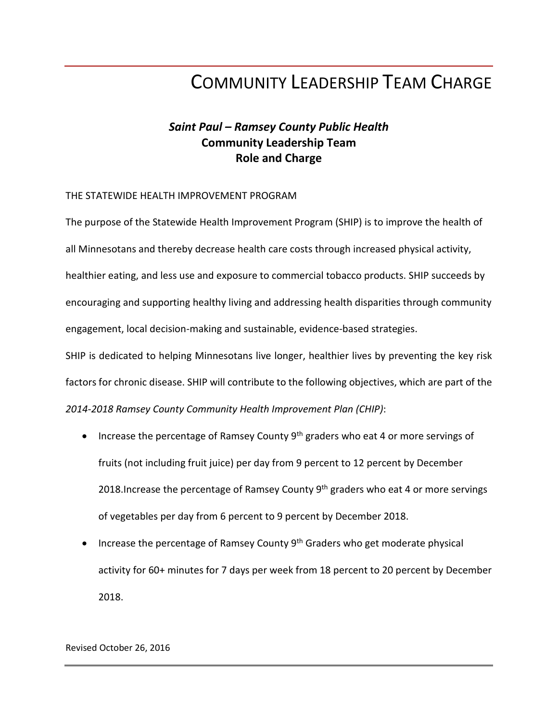# COMMUNITY LEADERSHIP TEAM CHARGE

## *Saint Paul – Ramsey County Public Health* **Community Leadership Team Role and Charge**

#### THE STATEWIDE HEALTH IMPROVEMENT PROGRAM

The purpose of the Statewide Health Improvement Program (SHIP) is to improve the health of all Minnesotans and thereby decrease health care costs through increased physical activity, healthier eating, and less use and exposure to commercial tobacco products. SHIP succeeds by encouraging and supporting healthy living and addressing health disparities through community engagement, local decision-making and sustainable, evidence-based strategies. SHIP is dedicated to helping Minnesotans live longer, healthier lives by preventing the key risk factors for chronic disease. SHIP will contribute to the following objectives, which are part of the

*2014-2018 Ramsey County Community Health Improvement Plan (CHIP)*:

- Increase the percentage of Ramsey County  $9<sup>th</sup>$  graders who eat 4 or more servings of fruits (not including fruit juice) per day from 9 percent to 12 percent by December 2018. Increase the percentage of Ramsey County  $9<sup>th</sup>$  graders who eat 4 or more servings of vegetables per day from 6 percent to 9 percent by December 2018.
- Increase the percentage of Ramsey County 9<sup>th</sup> Graders who get moderate physical activity for 60+ minutes for 7 days per week from 18 percent to 20 percent by December 2018.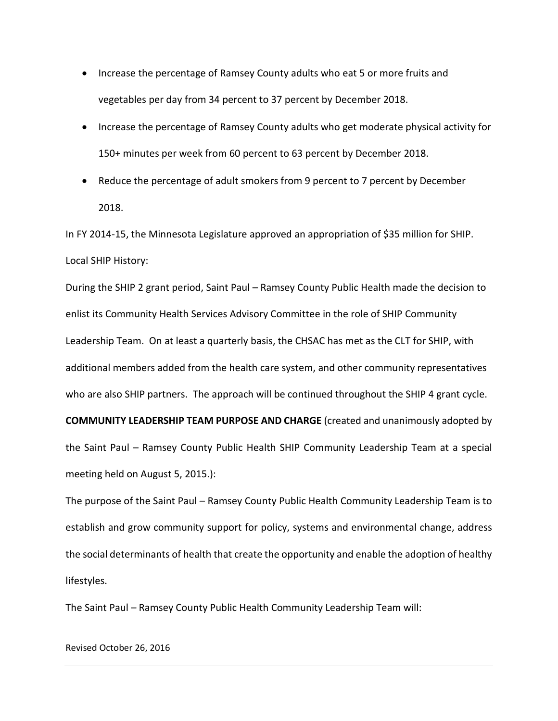- Increase the percentage of Ramsey County adults who eat 5 or more fruits and vegetables per day from 34 percent to 37 percent by December 2018.
- Increase the percentage of Ramsey County adults who get moderate physical activity for 150+ minutes per week from 60 percent to 63 percent by December 2018.
- Reduce the percentage of adult smokers from 9 percent to 7 percent by December 2018.

In FY 2014-15, the Minnesota Legislature approved an appropriation of \$35 million for SHIP. Local SHIP History:

During the SHIP 2 grant period, Saint Paul – Ramsey County Public Health made the decision to enlist its Community Health Services Advisory Committee in the role of SHIP Community Leadership Team. On at least a quarterly basis, the CHSAC has met as the CLT for SHIP, with additional members added from the health care system, and other community representatives who are also SHIP partners. The approach will be continued throughout the SHIP 4 grant cycle. **COMMUNITY LEADERSHIP TEAM PURPOSE AND CHARGE** (created and unanimously adopted by

the Saint Paul – Ramsey County Public Health SHIP Community Leadership Team at a special meeting held on August 5, 2015.):

The purpose of the Saint Paul – Ramsey County Public Health Community Leadership Team is to establish and grow community support for policy, systems and environmental change, address the social determinants of health that create the opportunity and enable the adoption of healthy lifestyles.

The Saint Paul – Ramsey County Public Health Community Leadership Team will:

Revised October 26, 2016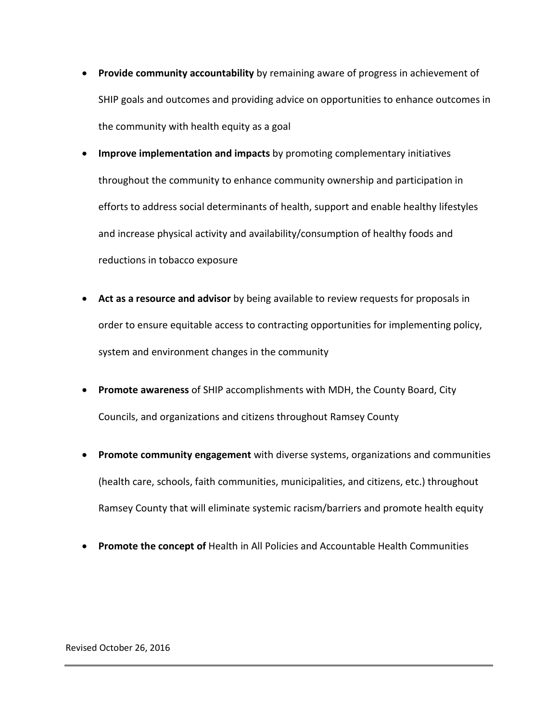- **Provide community accountability** by remaining aware of progress in achievement of SHIP goals and outcomes and providing advice on opportunities to enhance outcomes in the community with health equity as a goal
- **Improve implementation and impacts** by promoting complementary initiatives throughout the community to enhance community ownership and participation in efforts to address social determinants of health, support and enable healthy lifestyles and increase physical activity and availability/consumption of healthy foods and reductions in tobacco exposure
- **Act as a resource and advisor** by being available to review requests for proposals in order to ensure equitable access to contracting opportunities for implementing policy, system and environment changes in the community
- **Promote awareness** of SHIP accomplishments with MDH, the County Board, City Councils, and organizations and citizens throughout Ramsey County
- **Promote community engagement** with diverse systems, organizations and communities (health care, schools, faith communities, municipalities, and citizens, etc.) throughout Ramsey County that will eliminate systemic racism/barriers and promote health equity
- **Promote the concept of** Health in All Policies and Accountable Health Communities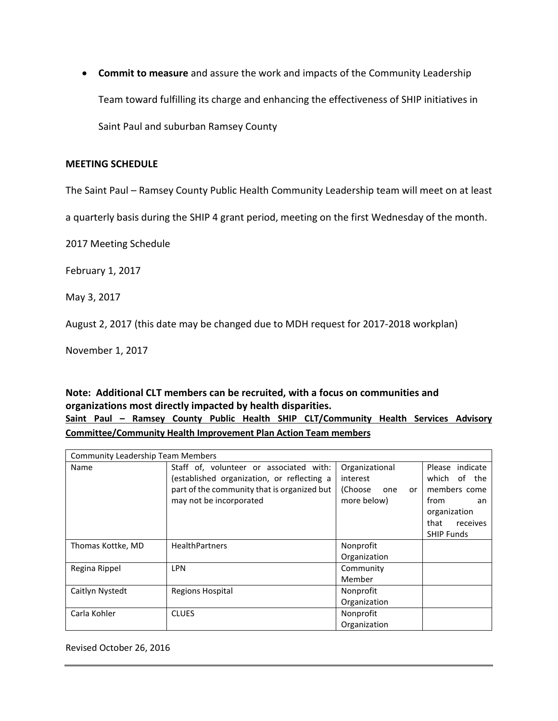• **Commit to measure** and assure the work and impacts of the Community Leadership Team toward fulfilling its charge and enhancing the effectiveness of SHIP initiatives in Saint Paul and suburban Ramsey County

#### **MEETING SCHEDULE**

The Saint Paul – Ramsey County Public Health Community Leadership team will meet on at least

a quarterly basis during the SHIP 4 grant period, meeting on the first Wednesday of the month.

2017 Meeting Schedule

February 1, 2017

May 3, 2017

August 2, 2017 (this date may be changed due to MDH request for 2017-2018 workplan)

November 1, 2017

### **Note: Additional CLT members can be recruited, with a focus on communities and organizations most directly impacted by health disparities. Saint Paul – Ramsey County Public Health SHIP CLT/Community Health Services Advisory Committee/Community Health Improvement Plan Action Team members**

| <b>Community Leadership Team Members</b> |                                                                                                                                                                 |                                                                   |                                                                                                                        |  |
|------------------------------------------|-----------------------------------------------------------------------------------------------------------------------------------------------------------------|-------------------------------------------------------------------|------------------------------------------------------------------------------------------------------------------------|--|
| Name                                     | Staff of, volunteer or associated with:<br>(established organization, or reflecting a<br>part of the community that is organized but<br>may not be incorporated | Organizational<br>interest<br>(Choose<br>one<br>or<br>more below) | Please indicate<br>which of the<br>members come<br>from<br>an<br>organization<br>that<br>receives<br><b>SHIP Funds</b> |  |
| Thomas Kottke, MD                        | <b>HealthPartners</b>                                                                                                                                           | Nonprofit<br>Organization                                         |                                                                                                                        |  |
| Regina Rippel                            | <b>LPN</b>                                                                                                                                                      | Community<br>Member                                               |                                                                                                                        |  |
| Caitlyn Nystedt                          | <b>Regions Hospital</b>                                                                                                                                         | Nonprofit<br>Organization                                         |                                                                                                                        |  |
| Carla Kohler                             | <b>CLUES</b>                                                                                                                                                    | Nonprofit<br>Organization                                         |                                                                                                                        |  |

Revised October 26, 2016